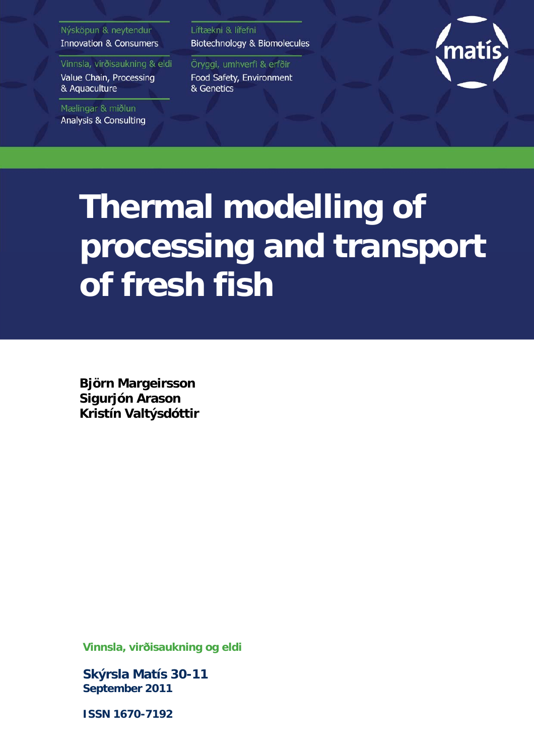## Nýsköpun & neytendur **Innovation & Consumers**

Vinnsla, virðisaukning & eldi Value Chain, Processing & Aquaculture

Mælingar & miðlun **Analysis & Consulting**  Líftækni & lífefni Biotechnology & Biomolecules

Öryggi, umhverfi & erfðir Food Safety, Environment & Genetics



# **Thermal modelling of processing and transport of fresh fish**

**Björn Margeirsson Sigurjón Arason Kristín Valtýsdóttir**

**Vinnsla, virðisaukning og eldi** 

**Skýrsla Matís 30-11 September 2011** 

**ISSN 1670-7192**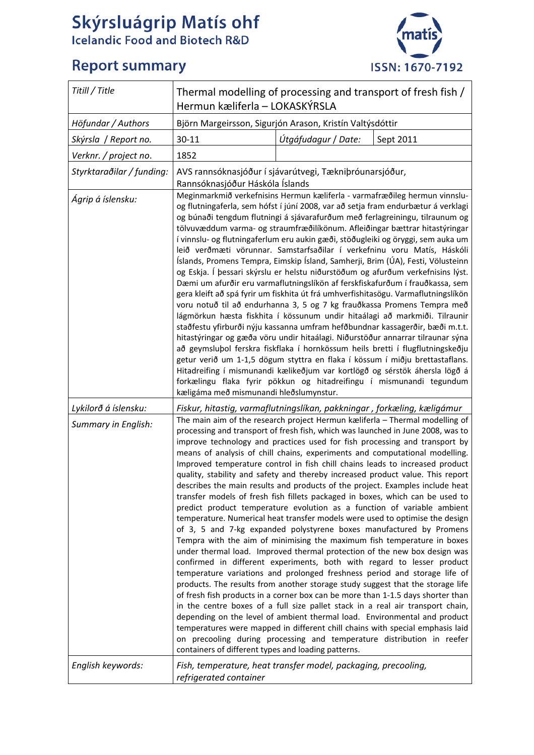# Skýrsluágrip Matís ohf<br>Icelandic Food and Biotech R&D

## **Report summary**



| Titill / Title                              | Thermal modelling of processing and transport of fresh fish /<br>Hermun kæliferla - LOKASKÝRSLA                                                                                                                                                                                                                                                                                                                                                                                                                                                                                                                                                                                                                                                                                                                                                                                                                                                                                                                                                                                                                                                                                                                                                                                                                                                                                                                                                                                                                                                                                                                                                                                                            |                     |                                                                                |  |
|---------------------------------------------|------------------------------------------------------------------------------------------------------------------------------------------------------------------------------------------------------------------------------------------------------------------------------------------------------------------------------------------------------------------------------------------------------------------------------------------------------------------------------------------------------------------------------------------------------------------------------------------------------------------------------------------------------------------------------------------------------------------------------------------------------------------------------------------------------------------------------------------------------------------------------------------------------------------------------------------------------------------------------------------------------------------------------------------------------------------------------------------------------------------------------------------------------------------------------------------------------------------------------------------------------------------------------------------------------------------------------------------------------------------------------------------------------------------------------------------------------------------------------------------------------------------------------------------------------------------------------------------------------------------------------------------------------------------------------------------------------------|---------------------|--------------------------------------------------------------------------------|--|
| Höfundar / Authors                          | Björn Margeirsson, Sigurjón Arason, Kristín Valtýsdóttir                                                                                                                                                                                                                                                                                                                                                                                                                                                                                                                                                                                                                                                                                                                                                                                                                                                                                                                                                                                                                                                                                                                                                                                                                                                                                                                                                                                                                                                                                                                                                                                                                                                   |                     |                                                                                |  |
| Skýrsla / Report no.                        | 30-11                                                                                                                                                                                                                                                                                                                                                                                                                                                                                                                                                                                                                                                                                                                                                                                                                                                                                                                                                                                                                                                                                                                                                                                                                                                                                                                                                                                                                                                                                                                                                                                                                                                                                                      | Útgáfudagur / Date: | Sept 2011                                                                      |  |
| Verknr. / project no.                       | 1852                                                                                                                                                                                                                                                                                                                                                                                                                                                                                                                                                                                                                                                                                                                                                                                                                                                                                                                                                                                                                                                                                                                                                                                                                                                                                                                                                                                                                                                                                                                                                                                                                                                                                                       |                     |                                                                                |  |
| Styrktaraðilar / funding:                   | AVS rannsóknasjóður í sjávarútvegi, Tækniþróunarsjóður,<br>Rannsóknasjóður Háskóla Íslands                                                                                                                                                                                                                                                                                                                                                                                                                                                                                                                                                                                                                                                                                                                                                                                                                                                                                                                                                                                                                                                                                                                                                                                                                                                                                                                                                                                                                                                                                                                                                                                                                 |                     |                                                                                |  |
| Ágrip á íslensku:                           | Meginmarkmið verkefnisins Hermun kæliferla - varmafræðileg hermun vinnslu-<br>og flutningaferla, sem hófst í júní 2008, var að setja fram endurbætur á verklagi<br>og búnaði tengdum flutningi á sjávarafurðum með ferlagreiningu, tilraunum og<br>tölvuvæddum varma- og straumfræðilíkönum. Afleiðingar bættrar hitastýringar<br>í vinnslu- og flutningaferlum eru aukin gæði, stöðugleiki og öryggi, sem auka um<br>leið verðmæti vörunnar. Samstarfsaðilar í verkefninu voru Matís, Háskóli<br>Íslands, Promens Tempra, Eimskip Ísland, Samherji, Brim (ÚA), Festi, Völusteinn<br>og Eskja. Í þessari skýrslu er helstu niðurstöðum og afurðum verkefnisins lýst.<br>Dæmi um afurðir eru varmaflutningslíkön af ferskfiskafurðum í frauðkassa, sem<br>gera kleift að spá fyrir um fiskhita út frá umhverfishitasögu. Varmaflutningslíkön<br>voru notuð til að endurhanna 3, 5 og 7 kg frauðkassa Promens Tempra með<br>lágmörkun hæsta fiskhita í kössunum undir hitaálagi að markmiði. Tilraunir<br>staðfestu yfirburði nýju kassanna umfram hefðbundnar kassagerðir, bæði m.t.t.<br>hitastýringar og gæða vöru undir hitaálagi. Niðurstöður annarrar tilraunar sýna<br>að geymslubol ferskra fiskflaka í hornkössum heils bretti í flugflutningskeðju<br>getur verið um 1-1,5 dögum styttra en flaka í kössum í miðju brettastaflans.<br>Hitadreifing í mismunandi kælikeðjum var kortlögð og sérstök áhersla lögð á<br>forkælingu flaka fyrir pökkun og hitadreifingu í mismunandi tegundum<br>kæligáma með mismunandi hleðslumynstur.                                                                                                                                                               |                     |                                                                                |  |
| Lykilorð á íslensku:<br>Summary in English: | Fiskur, hitastig, varmaflutningslíkan, pakkningar , forkæling, kæligámur<br>The main aim of the research project Hermun kæliferla - Thermal modelling of<br>processing and transport of fresh fish, which was launched in June 2008, was to<br>improve technology and practices used for fish processing and transport by<br>means of analysis of chill chains, experiments and computational modelling.<br>Improved temperature control in fish chill chains leads to increased product<br>describes the main results and products of the project. Examples include heat<br>transfer models of fresh fish fillets packaged in boxes, which can be used to<br>predict product temperature evolution as a function of variable ambient<br>temperature. Numerical heat transfer models were used to optimise the design<br>of 3, 5 and 7-kg expanded polystyrene boxes manufactured by Promens<br>Tempra with the aim of minimising the maximum fish temperature in boxes<br>under thermal load. Improved thermal protection of the new box design was<br>confirmed in different experiments, both with regard to lesser product<br>temperature variations and prolonged freshness period and storage life of<br>products. The results from another storage study suggest that the storage life<br>of fresh fish products in a corner box can be more than 1-1.5 days shorter than<br>in the centre boxes of a full size pallet stack in a real air transport chain,<br>depending on the level of ambient thermal load. Environmental and product<br>temperatures were mapped in different chill chains with special emphasis laid<br>on precooling during processing and temperature distribution in reefer |                     | quality, stability and safety and thereby increased product value. This report |  |
| English keywords:                           | containers of different types and loading patterns.<br>Fish, temperature, heat transfer model, packaging, precooling,<br>refrigerated container                                                                                                                                                                                                                                                                                                                                                                                                                                                                                                                                                                                                                                                                                                                                                                                                                                                                                                                                                                                                                                                                                                                                                                                                                                                                                                                                                                                                                                                                                                                                                            |                     |                                                                                |  |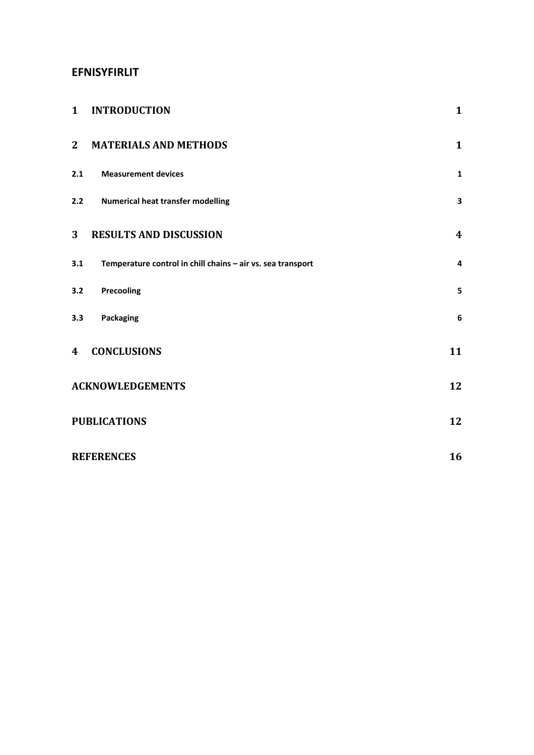## **EFNISYFIRLIT**

| $\mathbf{1}$            | <b>INTRODUCTION</b>                                         | $\mathbf{1}$            |
|-------------------------|-------------------------------------------------------------|-------------------------|
| $\overline{2}$          | <b>MATERIALS AND METHODS</b>                                | $\mathbf{1}$            |
| 2.1                     | <b>Measurement devices</b>                                  | $\mathbf{1}$            |
| 2.2                     | <b>Numerical heat transfer modelling</b>                    | 3                       |
| $\overline{\mathbf{3}}$ | <b>RESULTS AND DISCUSSION</b>                               | $\boldsymbol{4}$        |
| 3.1                     | Temperature control in chill chains - air vs. sea transport | $\overline{\mathbf{4}}$ |
| 3.2                     | Precooling                                                  | 5                       |
| 3.3                     | Packaging                                                   | $\boldsymbol{6}$        |
| 4                       | <b>CONCLUSIONS</b>                                          | 11                      |
|                         | <b>ACKNOWLEDGEMENTS</b>                                     | 12                      |
|                         | <b>PUBLICATIONS</b>                                         | 12                      |
|                         | <b>REFERENCES</b>                                           | 16                      |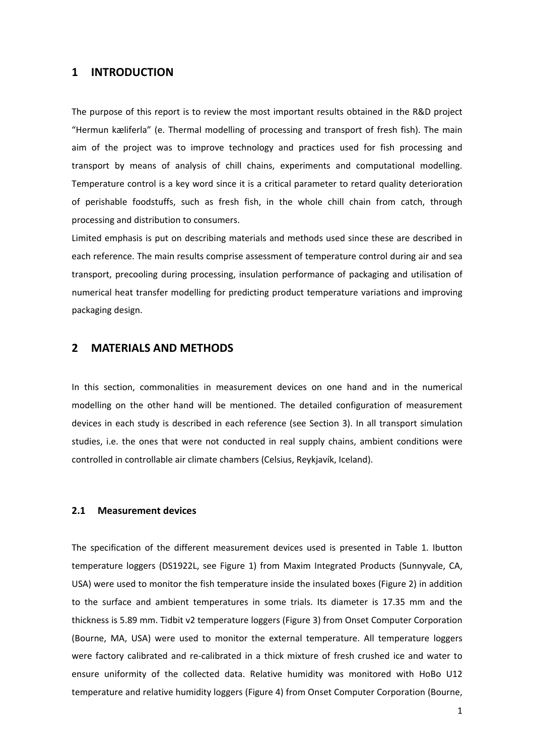## **1 INTRODUCTION**

The purpose of this report is to review the most important results obtained in the R&D project "Hermun kæliferla" (e. Thermal modelling of processing and transport of fresh fish). The main aim of the project was to improve technology and practices used for fish processing and transport by means of analysis of chill chains, experiments and computational modelling. Temperature control is a key word since it is a critical parameter to retard quality deterioration of perishable foodstuffs, such as fresh fish, in the whole chill chain from catch, through processing and distribution to consumers.

Limited emphasis is put on describing materials and methods used since these are described in each reference. The main results comprise assessment of temperature control during air and sea transport, precooling during processing, insulation performance of packaging and utilisation of numerical heat transfer modelling for predicting product temperature variations and improving packaging design.

## **2 MATERIALS AND METHODS**

In this section, commonalities in measurement devices on one hand and in the numerical modelling on the other hand will be mentioned. The detailed configuration of measurement devices in each study is described in each reference (see Section 3). In all transport simulation studies, i.e. the ones that were not conducted in real supply chains, ambient conditions were controlled in controllable air climate chambers (Celsius, Reykjavík, Iceland).

### **2.1 Measurement devices**

The specification of the different measurement devices used is presented in Table 1. Ibutton temperature loggers (DS1922L, see Figure 1) from Maxim Integrated Products (Sunnyvale, CA, USA) were used to monitor the fish temperature inside the insulated boxes (Figure 2) in addition to the surface and ambient temperatures in some trials. Its diameter is 17.35 mm and the thickness is 5.89 mm. Tidbit v2 temperature loggers (Figure 3) from Onset Computer Corporation (Bourne, MA, USA) were used to monitor the external temperature. All temperature loggers were factory calibrated and re‐calibrated in a thick mixture of fresh crushed ice and water to ensure uniformity of the collected data. Relative humidity was monitored with HoBo U12 temperature and relative humidity loggers (Figure 4) from Onset Computer Corporation (Bourne,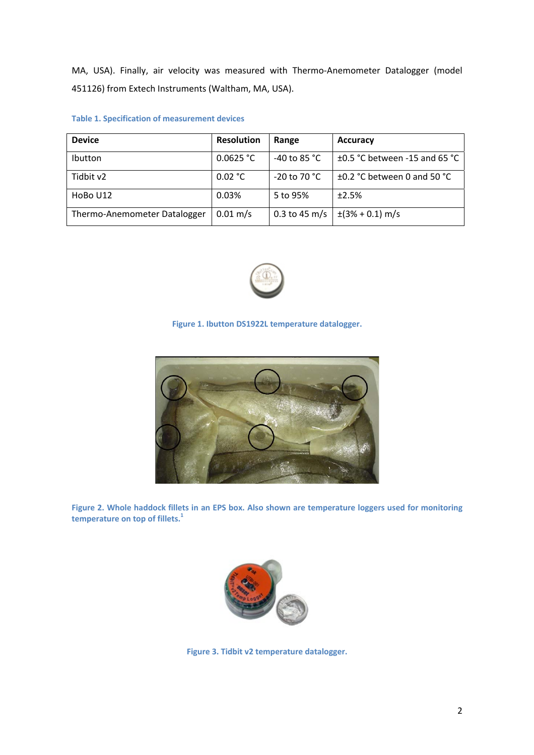MA, USA). Finally, air velocity was measured with Thermo‐Anemometer Datalogger (model 451126) from Extech Instruments (Waltham, MA, USA).

| <b>Table 1. Specification of measurement devices</b> |  |  |
|------------------------------------------------------|--|--|
|------------------------------------------------------|--|--|

| <b>Device</b>                | <b>Resolution</b>     | Range                  | <b>Accuracy</b>                  |
|------------------------------|-----------------------|------------------------|----------------------------------|
| Ibutton                      | 0.0625 °C             | -40 to 85 $^{\circ}$ C | ±0.5 °C between -15 and 65 °C    |
| Tidbit v2                    | 0.02 °C               | $-20$ to 70 °C         | $\pm$ 0.2 °C between 0 and 50 °C |
| HoBo U12                     | 0.03%                 | 5 to 95%               | $+2.5%$                          |
| Thermo-Anemometer Datalogger | $0.01 \,\mathrm{m/s}$ | $0.3$ to 45 m/s        | $\pm(3\% + 0.1)$ m/s             |



## **Figure 1. Ibutton DS1922L temperature datalogger.**



**Figure 2. Whole haddock fillets in an EPS box. Also shown are temperature loggers used for monitoring temperature on top of fillets.1**



**Figure 3. Tidbit v2 temperature datalogger.**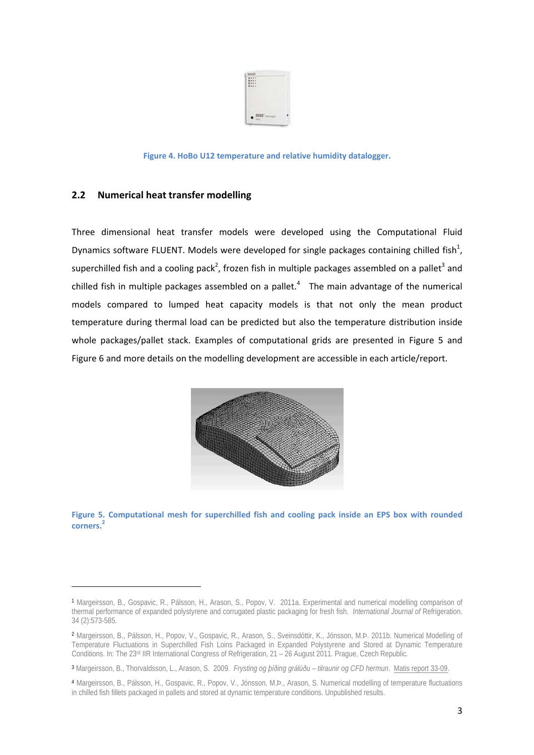

**Figure 4. HoBo U12 temperature and relative humidity datalogger.**

## **2.2 Numerical heat transfer modelling**

Three dimensional heat transfer models were developed using the Computational Fluid Dynamics software FLUENT. Models were developed for single packages containing chilled fish<sup>1</sup>, superchilled fish and a cooling pack<sup>2</sup>, frozen fish in multiple packages assembled on a pallet<sup>3</sup> and chilled fish in multiple packages assembled on a pallet.<sup>4</sup> The main advantage of the numerical models compared to lumped heat capacity models is that not only the mean product temperature during thermal load can be predicted but also the temperature distribution inside whole packages/pallet stack. Examples of computational grids are presented in Figure 5 and Figure 6 and more details on the modelling development are accessible in each article/report.



**Figure 5. Computational mesh for superchilled fish and cooling pack inside an EPS box with rounded corners.<sup>2</sup>**

<sup>1</sup> Margeirsson, B., Gospavic, R., Pálsson, H., Arason, S., Popov, V. 2011a. Experimental and numerical modelling comparison of thermal performance of expanded polystyrene and corrugated plastic packaging for fresh fish. *International Journal of* Refrigeration. 34 (2):573-585.

<sup>2</sup> Margeirsson, B., Pálsson, H., Popov, V., Gospavic, R., Arason, S., Sveinsdóttir, K., Jónsson, M.Þ. 2011b. Numerical Modelling of Temperature Fluctuations in Superchilled Fish Loins Packaged in Expanded Polystyrene and Stored at Dynamic Temperature Conditions. In: The 23rd IIR International Congress of Refrigeration, 21 – 26 August 2011. Prague, Czech Republic.

<sup>3</sup> Margeirsson, B., Thorvaldsson, L., Arason, S. 2009. *Frysting og þíðing grálúðu – tilraunir og CFD hermun*. Matis report 33-09.

<sup>4</sup> Margeirsson, B., Pálsson, H., Gospavic, R., Popov, V., Jónsson, M.Þ., Arason, S. Numerical modelling of temperature fluctuations in chilled fish fillets packaged in pallets and stored at dynamic temperature conditions. Unpublished results.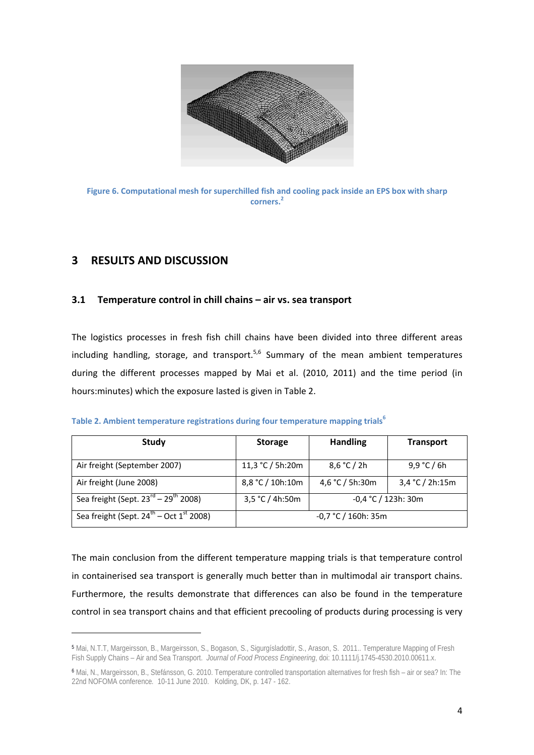

**Figure 6. Computational mesh for superchilled fish and cooling pack inside an EPS box with sharp corners.<sup>2</sup>**

## **3 RESULTS AND DISCUSSION**

## **3.1 Temperature control in chill chains – air vs. sea transport**

The logistics processes in fresh fish chill chains have been divided into three different areas including handling, storage, and transport.<sup>5,6</sup> Summary of the mean ambient temperatures during the different processes mapped by Mai et al. (2010, 2011) and the time period (in hours:minutes) which the exposure lasted is given in Table 2.

| <b>Study</b>                                                    | <b>Storage</b>                           | <b>Handling</b> | <b>Transport</b> |
|-----------------------------------------------------------------|------------------------------------------|-----------------|------------------|
| Air freight (September 2007)                                    | 11,3 °C / 5h:20m                         | 8,6 °C / 2h     | 9,9 °C / 6h      |
| Air freight (June 2008)                                         | 8,8 °C / 10h:10m                         | 4,6 °C / 5h:30m | 3,4 °C / 2h:15m  |
| Sea freight (Sept. $23^{\text{rd}} - 29^{\text{th}}$ 2008)      | 3,5 °C / 4h:50m<br>$-0,4$ °C / 123h: 30m |                 |                  |
| Sea freight (Sept. $24^{\text{th}}$ – Oct $1^{\text{st}}$ 2008) | $-0.7$ °C / 160h: 35m                    |                 |                  |

The main conclusion from the different temperature mapping trials is that temperature control in containerised sea transport is generally much better than in multimodal air transport chains. Furthermore, the results demonstrate that differences can also be found in the temperature control in sea transport chains and that efficient precooling of products during processing is very

<sup>5</sup> Mai, N.T.T, Margeirsson, B., Margeirsson, S., Bogason, S., Sigurgísladottir, S., Arason, S. 2011.. Temperature Mapping of Fresh Fish Supply Chains – Air and Sea Transport. *Journal of Food Process Engineering*, doi: 10.1111/j.1745-4530.2010.00611.x.

<sup>6</sup> Mai, N., Margeirsson, B., Stefánsson, G. 2010. Temperature controlled transportation alternatives for fresh fish – air or sea? In: The 22nd NOFOMA conference*.* 10-11 June 2010. Kolding, DK, p. 147 - 162.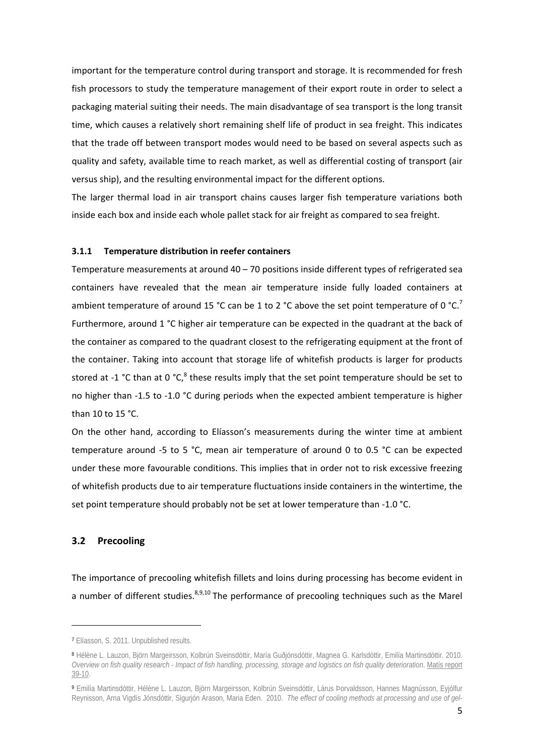important for the temperature control during transport and storage. It is recommended for fresh fish processors to study the temperature management of their export route in order to select a packaging material suiting their needs. The main disadvantage of sea transport is the long transit time, which causes a relatively short remaining shelf life of product in sea freight. This indicates that the trade off between transport modes would need to be based on several aspects such as quality and safety, available time to reach market, as well as differential costing of transport (air versus ship), and the resulting environmental impact for the different options.

The larger thermal load in air transport chains causes larger fish temperature variations both inside each box and inside each whole pallet stack for air freight as compared to sea freight.

#### **3.1.1 Temperature distribution in reefer containers**

Temperature measurements at around  $40 - 70$  positions inside different types of refrigerated sea containers have revealed that the mean air temperature inside fully loaded containers at ambient temperature of around 15 °C can be 1 to 2 °C above the set point temperature of 0 °C.<sup>7</sup> Furthermore, around 1 °C higher air temperature can be expected in the quadrant at the back of the container as compared to the quadrant closest to the refrigerating equipment at the front of the container. Taking into account that storage life of whitefish products is larger for products stored at -1 °C than at 0 °C, $^8$  these results imply that the set point temperature should be set to no higher than -1.5 to -1.0 °C during periods when the expected ambient temperature is higher than 10 to 15 °C.

On the other hand, according to Elíasson's measurements during the winter time at ambient temperature around ‐5 to 5 °C, mean air temperature of around 0 to 0.5 °C can be expected under these more favourable conditions. This implies that in order not to risk excessive freezing of whitefish products due to air temperature fluctuations inside containers in the wintertime, the set point temperature should probably not be set at lower temperature than -1.0 °C.

## **3.2 Precooling**

The importance of precooling whitefish fillets and loins during processing has become evident in a number of different studies.  $89,10$  The performance of precooling techniques such as the Marel

<sup>7</sup> Elíasson, S. 2011. Unpublished results.

<sup>8</sup> Hélène L. Lauzon, Björn Margeirsson, Kolbrún Sveinsdóttir, María Guðjónsdóttir, Magnea G. Karlsdóttir, Emilía Martinsdóttir. 2010. *Overview on fish quality research - Impact of fish handling, processing, storage and logistics on fish quality deterioration*. Matís report 39-10.

<sup>9</sup> Emilía Martinsdóttir, Hélène L. Lauzon, Björn Margeirsson, Kolbrún Sveinsdóttir, Lárus Þorvaldsson, Hannes Magnússon, Eyjólfur Reynisson, Arna Vigdís Jónsdóttir, Sigurjón Arason, Maria Eden. 2010. *The effect of cooling methods at processing and use of gel-*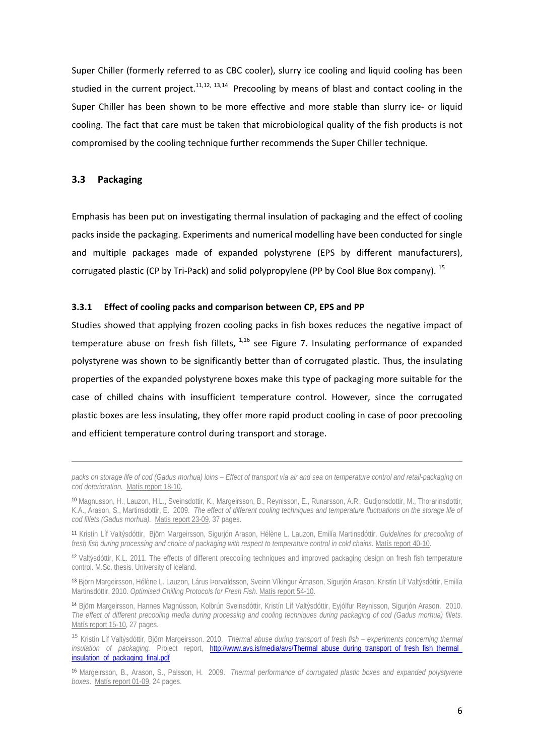Super Chiller (formerly referred to as CBC cooler), slurry ice cooling and liquid cooling has been studied in the current project.<sup>11,12, 13,14</sup> Precooling by means of blast and contact cooling in the Super Chiller has been shown to be more effective and more stable than slurry ice- or liquid cooling. The fact that care must be taken that microbiological quality of the fish products is not compromised by the cooling technique further recommends the Super Chiller technique.

## **3.3 Packaging**

Emphasis has been put on investigating thermal insulation of packaging and the effect of cooling packs inside the packaging. Experiments and numerical modelling have been conducted for single and multiple packages made of expanded polystyrene (EPS by different manufacturers), corrugated plastic (CP by Tri-Pack) and solid polypropylene (PP by Cool Blue Box company). <sup>15</sup>

#### **3.3.1 Effect of cooling packs and comparison between CP, EPS and PP**

Studies showed that applying frozen cooling packs in fish boxes reduces the negative impact of temperature abuse on fresh fish fillets,  $1,16$  see Figure 7. Insulating performance of expanded polystyrene was shown to be significantly better than of corrugated plastic. Thus, the insulating properties of the expanded polystyrene boxes make this type of packaging more suitable for the case of chilled chains with insufficient temperature control. However, since the corrugated plastic boxes are less insulating, they offer more rapid product cooling in case of poor precooling and efficient temperature control during transport and storage.

*packs on storage life of cod (Gadus morhua) loins – Effect of transport via air and sea on temperature control and retail-packaging on cod deterioration.* Matís report 18-10.

<sup>10</sup> Magnusson, H., Lauzon, H.L., Sveinsdottir, K., Margeirsson, B., Reynisson, E., Runarsson, A.R., Gudjonsdottir, M., Thorarinsdottir, K.A., Arason, S., Martinsdottir, E. 2009. *The effect of different cooling techniques and temperature fluctuations on the storage life of cod fillets (Gadus morhua).* Matis report 23-09, 37 pages.

<sup>11</sup> Kristín Líf Valtýsdóttir, Björn Margeirsson, Sigurjón Arason, Hélène L. Lauzon, Emilía Martinsdóttir. *Guidelines for precooling of fresh fish during processing and choice of packaging with respect to temperature control in cold chains.* Matís report 40-10.

<sup>12</sup> Valtýsdóttir, K.L. 2011. The effects of different precooling techniques and improved packaging design on fresh fish temperature control. M.Sc. thesis. University of Iceland.

<sup>13</sup> Björn Margeirsson, Hélène L. Lauzon, Lárus Þorvaldsson, Sveinn Víkingur Árnason, Sigurjón Arason, Kristín Líf Valtýsdóttir, Emilía Martinsdóttir. 2010. *Optimised Chilling Protocols for Fresh Fish.* Matís report 54-10.

<sup>14</sup> Björn Margeirsson, Hannes Magnússon, Kolbrún Sveinsdóttir, Kristín Líf Valtýsdóttir, Eyjólfur Reynisson, Sigurjón Arason. 2010. *The effect of different precooling media during processing and cooling techniques during packaging of cod (Gadus morhua) fillets.* Matís report 15-10, 27 pages.

<sup>15</sup> Kristín Líf Valtýsdóttir, Björn Margeirsson. 2010. *Thermal abuse during transport of fresh fish – experiments concerning thermal insulation of packaging.* Project report, http://www.avs.is/media/avs/Thermal\_abuse\_during\_transport\_of\_fresh\_fish\_thermal\_ insulation\_of\_packaging\_final.pdf

<sup>16</sup> Margeirsson, B., Arason, S., Palsson, H. 2009. *Thermal performance of corrugated plastic boxes and expanded polystyrene boxes*. Matís report 01-09, 24 pages.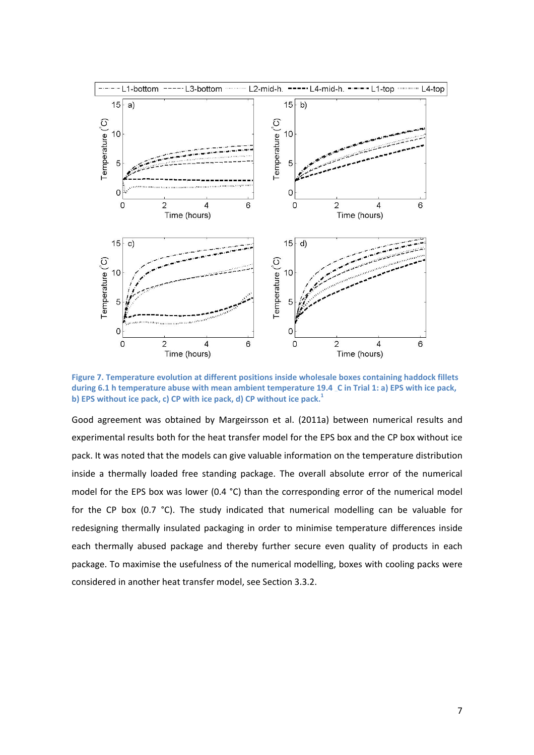

**Figure 7. Temperature evolution at different positions inside wholesale boxes containing haddock fillets** during 6.1 h temperature abuse with mean ambient temperature 19.4 C in Trial 1: a) EPS with ice pack, **b) EPS without ice pack, c) CP with ice pack, d) CP without ice pack.<sup>1</sup>**

Good agreement was obtained by Margeirsson et al. (2011a) between numerical results and experimental results both for the heat transfer model for the EPS box and the CP box without ice pack. It was noted that the models can give valuable information on the temperature distribution inside a thermally loaded free standing package. The overall absolute error of the numerical model for the EPS box was lower (0.4 °C) than the corresponding error of the numerical model for the CP box (0.7 °C). The study indicated that numerical modelling can be valuable for redesigning thermally insulated packaging in order to minimise temperature differences inside each thermally abused package and thereby further secure even quality of products in each package. To maximise the usefulness of the numerical modelling, boxes with cooling packs were considered in another heat transfer model, see Section 3.3.2.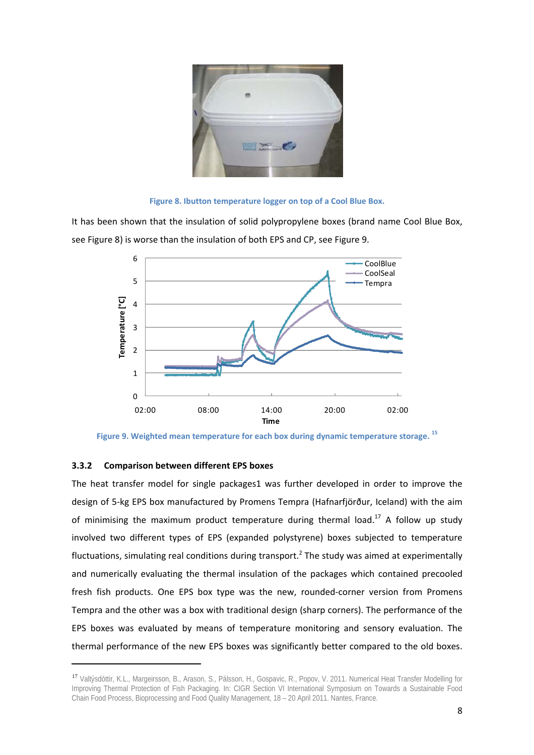

**Figure 8. Ibutton temperature logger on top of a Cool Blue Box.** 

It has been shown that the insulation of solid polypropylene boxes (brand name Cool Blue Box, see Figure 8) is worse than the insulation of both EPS and CP, see Figure 9.





## **3.3.2 Comparison between different EPS boxes**

The heat transfer model for single packages1 was further developed in order to improve the design of 5‐kg EPS box manufactured by Promens Tempra (Hafnarfjörður, Iceland) with the aim of minimising the maximum product temperature during thermal load.<sup>17</sup> A follow up study involved two different types of EPS (expanded polystyrene) boxes subjected to temperature fluctuations, simulating real conditions during transport.<sup>2</sup> The study was aimed at experimentally and numerically evaluating the thermal insulation of the packages which contained precooled fresh fish products. One EPS box type was the new, rounded-corner version from Promens Tempra and the other was a box with traditional design (sharp corners). The performance of the EPS boxes was evaluated by means of temperature monitoring and sensory evaluation. The thermal performance of the new EPS boxes was significantly better compared to the old boxes.

<sup>17</sup> Valtýsdóttir, K.L., Margeirsson, B., Arason, S., Pálsson, H., Gospavic, R., Popov, V. 2011. Numerical Heat Transfer Modelling for Improving Thermal Protection of Fish Packaging. In: CIGR Section VI International Symposium on Towards a Sustainable Food Chain Food Process, Bioprocessing and Food Quality Management, 18 – 20 April 2011. Nantes, France.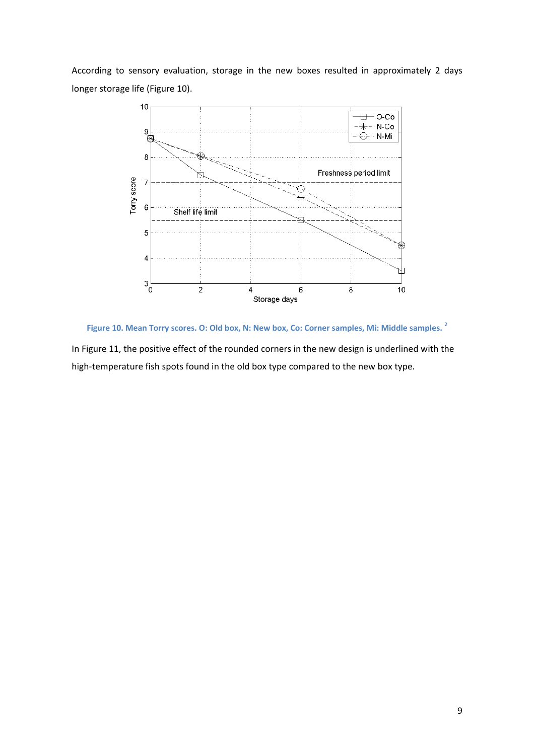According to sensory evaluation, storage in the new boxes resulted in approximately 2 days longer storage life (Figure 10).



**Figure 10. Mean Torry scores. O: Old box, N: New box, Co: Corner samples, Mi: Middle samples. <sup>2</sup>**

In Figure 11, the positive effect of the rounded corners in the new design is underlined with the high-temperature fish spots found in the old box type compared to the new box type.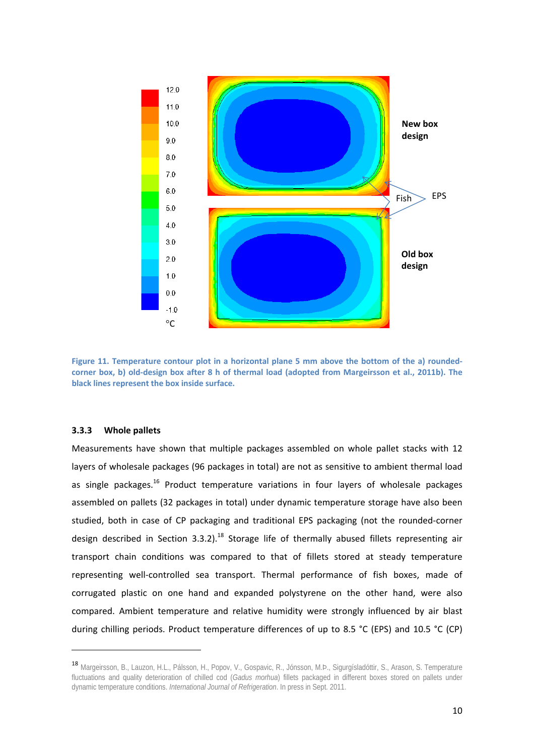

Figure 11. Temperature contour plot in a horizontal plane 5 mm above the bottom of the a) roundedcorner box, b) old-design box after 8 h of thermal load (adopted from Margeirsson et al., 2011b). The **black lines represent the box inside surface.**

#### **3.3.3 Whole pallets**

Measurements have shown that multiple packages assembled on whole pallet stacks with 12 layers of wholesale packages (96 packages in total) are not as sensitive to ambient thermal load as single packages.<sup>16</sup> Product temperature variations in four layers of wholesale packages assembled on pallets (32 packages in total) under dynamic temperature storage have also been studied, both in case of CP packaging and traditional EPS packaging (not the rounded‐corner design described in Section 3.3.2).<sup>18</sup> Storage life of thermally abused fillets representing air transport chain conditions was compared to that of fillets stored at steady temperature representing well-controlled sea transport. Thermal performance of fish boxes, made of corrugated plastic on one hand and expanded polystyrene on the other hand, were also compared. Ambient temperature and relative humidity were strongly influenced by air blast during chilling periods. Product temperature differences of up to 8.5 °C (EPS) and 10.5 °C (CP)

<sup>18</sup> Margeirsson, B., Lauzon, H.L., Pálsson, H., Popov, V., Gospavic, R., Jónsson, M.Þ., Sigurgísladóttir, S., Arason, S. Temperature fluctuations and quality deterioration of chilled cod (*Gadus morhua*) fillets packaged in different boxes stored on pallets under dynamic temperature conditions. *International Journal of Refrigeration*. In press in Sept. 2011.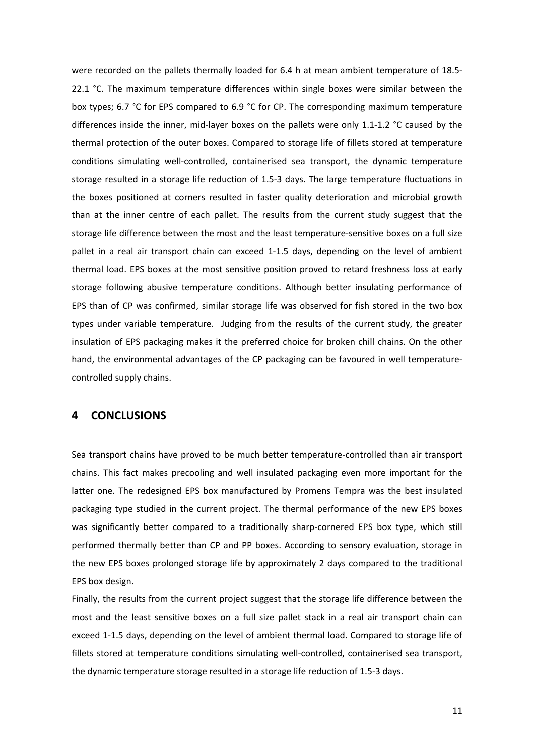were recorded on the pallets thermally loaded for 6.4 h at mean ambient temperature of 18.5-22.1 °C. The maximum temperature differences within single boxes were similar between the box types; 6.7 °C for EPS compared to 6.9 °C for CP. The corresponding maximum temperature differences inside the inner, mid-layer boxes on the pallets were only 1.1-1.2  $\degree$ C caused by the thermal protection of the outer boxes. Compared to storage life of fillets stored at temperature conditions simulating well‐controlled, containerised sea transport, the dynamic temperature storage resulted in a storage life reduction of 1.5‐3 days. The large temperature fluctuations in the boxes positioned at corners resulted in faster quality deterioration and microbial growth than at the inner centre of each pallet. The results from the current study suggest that the storage life difference between the most and the least temperature‐sensitive boxes on a full size pallet in a real air transport chain can exceed 1-1.5 days, depending on the level of ambient thermal load. EPS boxes at the most sensitive position proved to retard freshness loss at early storage following abusive temperature conditions. Although better insulating performance of EPS than of CP was confirmed, similar storage life was observed for fish stored in the two box types under variable temperature. Judging from the results of the current study, the greater insulation of EPS packaging makes it the preferred choice for broken chill chains. On the other hand, the environmental advantages of the CP packaging can be favoured in well temperaturecontrolled supply chains.

## **4 CONCLUSIONS**

Sea transport chains have proved to be much better temperature‐controlled than air transport chains. This fact makes precooling and well insulated packaging even more important for the latter one. The redesigned EPS box manufactured by Promens Tempra was the best insulated packaging type studied in the current project. The thermal performance of the new EPS boxes was significantly better compared to a traditionally sharp-cornered EPS box type, which still performed thermally better than CP and PP boxes. According to sensory evaluation, storage in the new EPS boxes prolonged storage life by approximately 2 days compared to the traditional EPS box design.

Finally, the results from the current project suggest that the storage life difference between the most and the least sensitive boxes on a full size pallet stack in a real air transport chain can exceed 1-1.5 days, depending on the level of ambient thermal load. Compared to storage life of fillets stored at temperature conditions simulating well-controlled, containerised sea transport, the dynamic temperature storage resulted in a storage life reduction of 1.5‐3 days.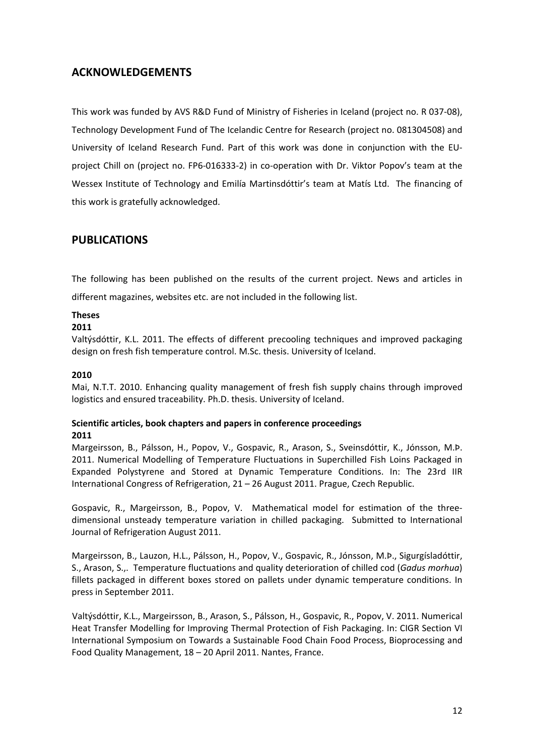## **ACKNOWLEDGEMENTS**

This work was funded by AVS R&D Fund of Ministry of Fisheries in Iceland (project no. R 037‐08), Technology Development Fund of The Icelandic Centre for Research (project no. 081304508) and University of Iceland Research Fund. Part of this work was done in conjunction with the EU‐ project Chill on (project no. FP6‐016333‐2) in co‐operation with Dr. Viktor Popov's team at the Wessex Institute of Technology and Emilía Martinsdóttir's team at Matís Ltd. The financing of this work is gratefully acknowledged.

## **PUBLICATIONS**

The following has been published on the results of the current project. News and articles in

different magazines, websites etc. are not included in the following list.

## **Theses**

## **2011**

Valtýsdóttir, K.L. 2011. The effects of different precooling techniques and improved packaging design on fresh fish temperature control. M.Sc. thesis. University of Iceland.

## **2010**

Mai, N.T.T. 2010. Enhancing quality management of fresh fish supply chains through improved logistics and ensured traceability. Ph.D. thesis. University of Iceland.

## **Scientific articles, book chapters and papers in conference proceedings 2011**

Margeirsson, B., Pálsson, H., Popov, V., Gospavic, R., Arason, S., Sveinsdóttir, K., Jónsson, M.Þ. 2011. Numerical Modelling of Temperature Fluctuations in Superchilled Fish Loins Packaged in Expanded Polystyrene and Stored at Dynamic Temperature Conditions. In: The 23rd IIR International Congress of Refrigeration, 21 – 26 August 2011. Prague, Czech Republic.

Gospavic, R., Margeirsson, B., Popov, V. Mathematical model for estimation of the three‐ dimensional unsteady temperature variation in chilled packaging. Submitted to International Journal of Refrigeration August 2011.

Margeirsson, B., Lauzon, H.L., Pálsson, H., Popov, V., Gospavic, R., Jónsson, M.Þ., Sigurgísladóttir, S., Arason, S.,. Temperature fluctuations and quality deterioration of chilled cod (*Gadus morhua*) fillets packaged in different boxes stored on pallets under dynamic temperature conditions. In press in September 2011.

Valtýsdóttir, K.L., Margeirsson, B., Arason, S., Pálsson, H., Gospavic, R., Popov, V. 2011. Numerical Heat Transfer Modelling for Improving Thermal Protection of Fish Packaging. In: CIGR Section VI International Symposium on Towards a Sustainable Food Chain Food Process, Bioprocessing and Food Quality Management, 18 – 20 April 2011. Nantes, France.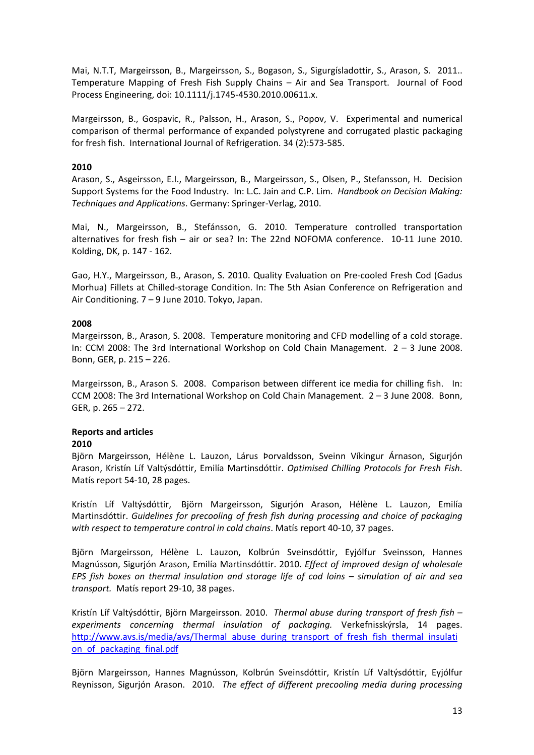Mai, N.T.T, Margeirsson, B., Margeirsson, S., Bogason, S., Sigurgísladottir, S., Arason, S. 2011.. Temperature Mapping of Fresh Fish Supply Chains – Air and Sea Transport. Journal of Food Process Engineering, doi: 10.1111/j.1745‐4530.2010.00611.x.

Margeirsson, B., Gospavic, R., Palsson, H., Arason, S., Popov, V. Experimental and numerical comparison of thermal performance of expanded polystyrene and corrugated plastic packaging for fresh fish. International Journal of Refrigeration. 34 (2):573‐585.

## **2010**

Arason, S., Asgeirsson, E.I., Margeirsson, B., Margeirsson, S., Olsen, P., Stefansson, H. Decision Support Systems for the Food Industry. In: L.C. Jain and C.P. Lim. *Handbook on Decision Making: Techniques and Applications*. Germany: Springer‐Verlag, 2010.

Mai, N., Margeirsson, B., Stefánsson, G. 2010. Temperature controlled transportation alternatives for fresh fish – air or sea? In: The 22nd NOFOMA conference. 10‐11 June 2010. Kolding, DK, p. 147 ‐ 162.

Gao, H.Y., Margeirsson, B., Arason, S. 2010. Quality Evaluation on Pre‐cooled Fresh Cod (Gadus Morhua) Fillets at Chilled‐storage Condition. In: The 5th Asian Conference on Refrigeration and Air Conditioning. 7 – 9 June 2010. Tokyo, Japan.

## **2008**

Margeirsson, B., Arason, S. 2008. Temperature monitoring and CFD modelling of a cold storage. In: CCM 2008: The 3rd International Workshop on Cold Chain Management. 2 – 3 June 2008. Bonn, GER, p. 215 – 226.

Margeirsson, B., Arason S. 2008. Comparison between different ice media for chilling fish. In: CCM 2008: The 3rd International Workshop on Cold Chain Management. 2 – 3 June 2008. Bonn, GER, p. 265 – 272.

## **Reports and articles**

### **2010**

Björn Margeirsson, Hélène L. Lauzon, Lárus Þorvaldsson, Sveinn Víkingur Árnason, Sigurjón Arason, Kristín Líf Valtýsdóttir, Emilía Martinsdóttir. *Optimised Chilling Protocols for Fresh Fish*. Matís report 54‐10, 28 pages.

Kristín Líf Valtýsdóttir, Björn Margeirsson, Sigurjón Arason, Hélène L. Lauzon, Emilía Martinsdóttir. *Guidelines for precooling of fresh fish during processing and choice of packaging with respect to temperature control in cold chains*. Matís report 40‐10, 37 pages.

Björn Margeirsson, Hélène L. Lauzon, Kolbrún Sveinsdóttir, Eyjólfur Sveinsson, Hannes Magnússon, Sigurjón Arason, Emilía Martinsdóttir. 2010. *Effect of improved design of wholesale EPS fish boxes on thermal insulation and storage life of cod loins – simulation of air and sea transport.* Matís report 29‐10, 38 pages.

Kristín Líf Valtýsdóttir, Björn Margeirsson. 2010. *Thermal abuse during transport of fresh fish – experiments concerning thermal insulation of packaging.* Verkefnisskýrsla, 14 pages. http://www.avs.is/media/avs/Thermal\_abuse\_during\_transport\_of\_fresh\_fish\_thermal\_insulati on\_of\_packaging\_final.pdf

Björn Margeirsson, Hannes Magnússon, Kolbrún Sveinsdóttir, Kristín Líf Valtýsdóttir, Eyjólfur Reynisson, Sigurjón Arason. 2010. *The effect of different precooling media during processing*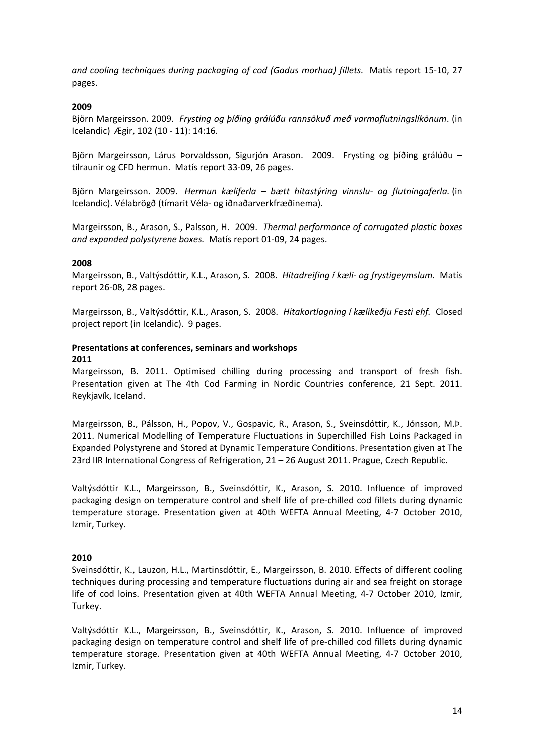*and cooling techniques during packaging of cod (Gadus morhua) fillets.* Matís report 15‐10, 27 pages.

## **2009**

Björn Margeirsson. 2009. *Frysting og þíðing grálúðu rannsökuð með varmaflutningslíkönum*. (in Icelandic) Ægir, 102 (10 ‐ 11): 14:16.

Björn Margeirsson, Lárus Þorvaldsson, Sigurión Arason. 2009. Frysting og bíðing grálúðu tilraunir og CFD hermun. Matís report 33‐09, 26 pages.

Björn Margeirsson. 2009. *Hermun kæliferla – bætt hitastýring vinnslu‐ og flutningaferla.* (in Icelandic). Vélabrögð (tímarit Véla‐ og iðnaðarverkfræðinema).

Margeirsson, B., Arason, S., Palsson, H. 2009. *Thermal performance of corrugated plastic boxes and expanded polystyrene boxes.* Matís report 01‐09, 24 pages.

### **2008**

Margeirsson, B., Valtýsdóttir, K.L., Arason, S. 2008. *Hitadreifing í kæli‐ og frystigeymslum.* Matís report 26‐08, 28 pages.

Margeirsson, B., Valtýsdóttir, K.L., Arason, S. 2008. *Hitakortlagning í kælikeðju Festi ehf.* Closed project report (in Icelandic). 9 pages.

## **Presentations at conferences, seminars and workshops**

### **2011**

Margeirsson, B. 2011. Optimised chilling during processing and transport of fresh fish. Presentation given at The 4th Cod Farming in Nordic Countries conference, 21 Sept. 2011. Reykjavík, Iceland.

Margeirsson, B., Pálsson, H., Popov, V., Gospavic, R., Arason, S., Sveinsdóttir, K., Jónsson, M.Þ. 2011. Numerical Modelling of Temperature Fluctuations in Superchilled Fish Loins Packaged in Expanded Polystyrene and Stored at Dynamic Temperature Conditions. Presentation given at The 23rd IIR International Congress of Refrigeration, 21 – 26 August 2011. Prague, Czech Republic.

Valtýsdóttir K.L., Margeirsson, B., Sveinsdóttir, K., Arason, S. 2010. Influence of improved packaging design on temperature control and shelf life of pre‐chilled cod fillets during dynamic temperature storage. Presentation given at 40th WEFTA Annual Meeting, 4‐7 October 2010, Izmir, Turkey.

### **2010**

Sveinsdóttir, K., Lauzon, H.L., Martinsdóttir, E., Margeirsson, B. 2010. Effects of different cooling techniques during processing and temperature fluctuations during air and sea freight on storage life of cod loins. Presentation given at 40th WEFTA Annual Meeting, 4‐7 October 2010, Izmir, Turkey.

Valtýsdóttir K.L., Margeirsson, B., Sveinsdóttir, K., Arason, S. 2010. Influence of improved packaging design on temperature control and shelf life of pre‐chilled cod fillets during dynamic temperature storage. Presentation given at 40th WEFTA Annual Meeting, 4‐7 October 2010, Izmir, Turkey.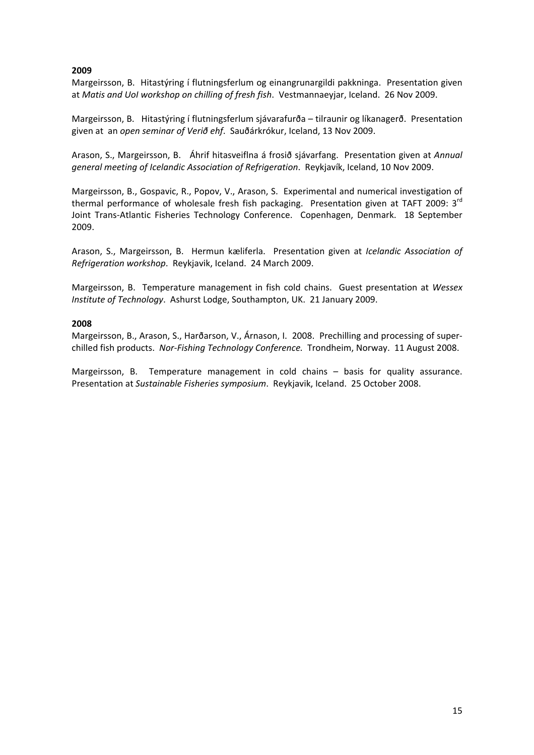## **2009**

Margeirsson, B. Hitastýring í flutningsferlum og einangrunargildi pakkninga. Presentation given at *Matis and UoI workshop on chilling of fresh fish*. Vestmannaeyjar, Iceland. 26 Nov 2009.

Margeirsson, B. Hitastýring í flutningsferlum sjávarafurða – tilraunir og líkanagerð. Presentation given at an *open seminar of Verið ehf*. Sauðárkrókur, Iceland, 13 Nov 2009.

Arason, S., Margeirsson, B. Áhrif hitasveiflna á frosið sjávarfang. Presentation given at *Annual general meeting of Icelandic Association of Refrigeration*. Reykjavík, Iceland, 10 Nov 2009.

Margeirsson, B., Gospavic, R., Popov, V., Arason, S. Experimental and numerical investigation of thermal performance of wholesale fresh fish packaging. Presentation given at TAFT 2009: 3<sup>rd</sup> Joint Trans‐Atlantic Fisheries Technology Conference. Copenhagen, Denmark. 18 September 2009.

Arason, S., Margeirsson, B. Hermun kæliferla. Presentation given at *Icelandic Association of Refrigeration workshop*. Reykjavik, Iceland. 24 March 2009.

Margeirsson, B. Temperature management in fish cold chains. Guest presentation at *Wessex Institute of Technology*. Ashurst Lodge, Southampton, UK. 21 January 2009.

## **2008**

Margeirsson, B., Arason, S., Harðarson, V., Árnason, I. 2008. Prechilling and processing of superchilled fish products. *Nor‐Fishing Technology Conference.* Trondheim, Norway. 11 August 2008.

Margeirsson, B. Temperature management in cold chains – basis for quality assurance. Presentation at *Sustainable Fisheries symposium*. Reykjavik, Iceland. 25 October 2008.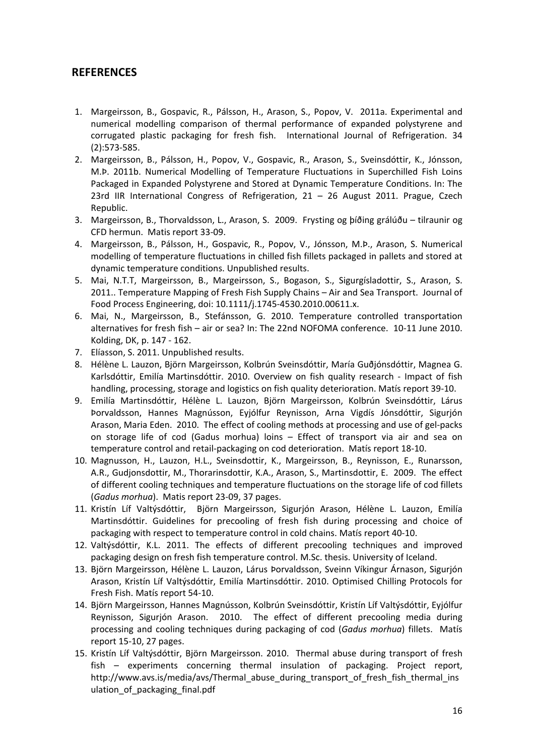## **REFERENCES**

- 1. Margeirsson, B., Gospavic, R., Pálsson, H., Arason, S., Popov, V. 2011a. Experimental and numerical modelling comparison of thermal performance of expanded polystyrene and corrugated plastic packaging for fresh fish. International Journal of Refrigeration. 34 (2):573‐585.
- 2. Margeirsson, B., Pálsson, H., Popov, V., Gospavic, R., Arason, S., Sveinsdóttir, K., Jónsson, M.Þ. 2011b. Numerical Modelling of Temperature Fluctuations in Superchilled Fish Loins Packaged in Expanded Polystyrene and Stored at Dynamic Temperature Conditions. In: The 23rd IIR International Congress of Refrigeration, 21 – 26 August 2011. Prague, Czech Republic.
- 3. Margeirsson, B., Thorvaldsson, L., Arason, S. 2009. Frysting og þíðing grálúðu tilraunir og CFD hermun. Matis report 33‐09.
- 4. Margeirsson, B., Pálsson, H., Gospavic, R., Popov, V., Jónsson, M.Þ., Arason, S. Numerical modelling of temperature fluctuations in chilled fish fillets packaged in pallets and stored at dynamic temperature conditions. Unpublished results.
- 5. Mai, N.T.T, Margeirsson, B., Margeirsson, S., Bogason, S., Sigurgísladottir, S., Arason, S. 2011.. Temperature Mapping of Fresh Fish Supply Chains – Air and Sea Transport. Journal of Food Process Engineering, doi: 10.1111/j.1745‐4530.2010.00611.x.
- 6. Mai, N., Margeirsson, B., Stefánsson, G. 2010. Temperature controlled transportation alternatives for fresh fish – air or sea? In: The 22nd NOFOMA conference. 10‐11 June 2010. Kolding, DK, p. 147 ‐ 162.
- 7. Elíasson, S. 2011. Unpublished results.
- 8. Hélène L. Lauzon, Björn Margeirsson, Kolbrún Sveinsdóttir, María Guðjónsdóttir, Magnea G. Karlsdóttir, Emilía Martinsdóttir. 2010. Overview on fish quality research ‐ Impact of fish handling, processing, storage and logistics on fish quality deterioration. Matís report 39‐10.
- 9. Emilía Martinsdóttir, Hélène L. Lauzon, Björn Margeirsson, Kolbrún Sveinsdóttir, Lárus Þorvaldsson, Hannes Magnússon, Eyjólfur Reynisson, Arna Vigdís Jónsdóttir, Sigurjón Arason, Maria Eden. 2010. The effect of cooling methods at processing and use of gel‐packs on storage life of cod (Gadus morhua) loins – Effect of transport via air and sea on temperature control and retail‐packaging on cod deterioration. Matís report 18‐10.
- 10. Magnusson, H., Lauzon, H.L., Sveinsdottir, K., Margeirsson, B., Reynisson, E., Runarsson, A.R., Gudjonsdottir, M., Thorarinsdottir, K.A., Arason, S., Martinsdottir, E. 2009. The effect of different cooling techniques and temperature fluctuations on the storage life of cod fillets (*Gadus morhua*). Matis report 23‐09, 37 pages.
- 11. Kristín Líf Valtýsdóttir, Björn Margeirsson, Sigurjón Arason, Hélène L. Lauzon, Emilía Martinsdóttir. Guidelines for precooling of fresh fish during processing and choice of packaging with respect to temperature control in cold chains. Matís report 40‐10.
- 12. Valtýsdóttir, K.L. 2011. The effects of different precooling techniques and improved packaging design on fresh fish temperature control. M.Sc. thesis. University of Iceland.
- 13. Björn Margeirsson, Hélène L. Lauzon, Lárus Þorvaldsson, Sveinn Víkingur Árnason, Sigurjón Arason, Kristín Líf Valtýsdóttir, Emilía Martinsdóttir. 2010. Optimised Chilling Protocols for Fresh Fish. Matís report 54‐10.
- 14. Björn Margeirsson, Hannes Magnússon, Kolbrún Sveinsdóttir, Kristín Líf Valtýsdóttir, Eyjólfur Reynisson, Sigurjón Arason. 2010. The effect of different precooling media during processing and cooling techniques during packaging of cod (*Gadus morhua*) fillets. Matís report 15‐10, 27 pages.
- 15. Kristín Líf Valtýsdóttir, Björn Margeirsson. 2010. Thermal abuse during transport of fresh fish – experiments concerning thermal insulation of packaging. Project report, http://www.avs.is/media/avs/Thermal\_abuse\_during\_transport\_of\_fresh\_fish\_thermal\_ins ulation of packaging final.pdf